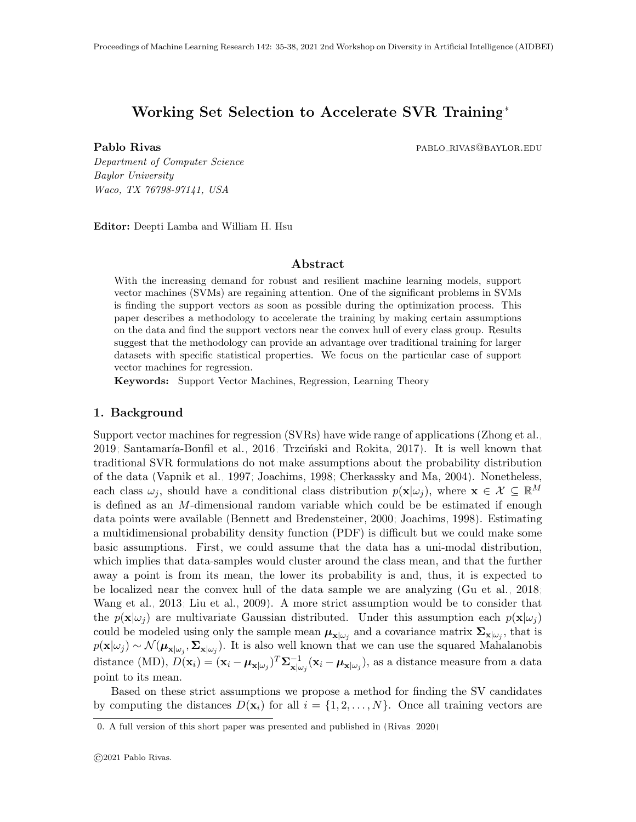# Working Set Selection to Accelerate SVR Training<sup>∗</sup>

Pablo Rivas **pablo Rivas** pablo rivas pablo rivas pablo rivas pablo rivas pablo rivas pablo rivas pablo rivas p

Department of Computer Science Baylor University Waco, TX 76798-97141, USA

Editor: Deepti Lamba and William H. Hsu

#### Abstract

With the increasing demand for robust and resilient machine learning models, support vector machines (SVMs) are regaining attention. One of the significant problems in SVMs is finding the support vectors as soon as possible during the optimization process. This paper describes a methodology to accelerate the training by making certain assumptions on the data and find the support vectors near the convex hull of every class group. Results suggest that the methodology can provide an advantage over traditional training for larger datasets with specific statistical properties. We focus on the particular case of support vector machines for regression.

Keywords: Support Vector Machines, Regression, Learning Theory

#### 1. Background

Support vector machines for regression (SVRs) have wide range of applications [\(Zhong et al.,](#page-3-0) [2019;](#page-3-0) Santamaría-Bonfil et al., 2016; Trzciński and Rokita, 2017). It is well known that traditional SVR formulations do not make assumptions about the probability distribution of the data [\(Vapnik et al., 1997;](#page-3-3) [Joachims, 1998;](#page-3-4) [Cherkassky and Ma, 2004\)](#page-3-5). Nonetheless, each class  $\omega_j$ , should have a conditional class distribution  $p(\mathbf{x}|\omega_j)$ , where  $\mathbf{x} \in \mathcal{X} \subseteq \mathbb{R}^M$ is defined as an M-dimensional random variable which could be be estimated if enough data points were available [\(Bennett and Bredensteiner, 2000;](#page-3-6) [Joachims, 1998\)](#page-3-4). Estimating a multidimensional probability density function (PDF) is difficult but we could make some basic assumptions. First, we could assume that the data has a uni-modal distribution, which implies that data-samples would cluster around the class mean, and that the further away a point is from its mean, the lower its probability is and, thus, it is expected to be localized near the convex hull of the data sample we are analyzing [\(Gu et al., 2018;](#page-3-7) [Wang et al., 2013;](#page-3-8) [Liu et al., 2009\)](#page-3-9). A more strict assumption would be to consider that the  $p(\mathbf{x}|\omega_i)$  are multivariate Gaussian distributed. Under this assumption each  $p(\mathbf{x}|\omega_i)$ could be modeled using only the sample mean  $\mu_{\mathbf{x}|\omega_j}$  and a covariance matrix  $\Sigma_{\mathbf{x}|\omega_j}$ , that is  $p(\mathbf{x}|\omega_j) \sim \mathcal{N}(\boldsymbol{\mu}_{\mathbf{x}|\omega_j}, \boldsymbol{\Sigma}_{\mathbf{x}|\omega_j})$ . It is also well known that we can use the squared Mahalanobis distance (MD),  $D(\mathbf{x}_i) = (\mathbf{x}_i - \boldsymbol{\mu}_{\mathbf{x}|\omega_j})^T \boldsymbol{\Sigma}_{\mathbf{x}|\omega_j}^{-1}$  $\frac{1}{\mathbf{x}|\omega_j}(\mathbf{x}_i - \boldsymbol{\mu}_{\mathbf{x}|\omega_j}),$  as a distance measure from a data point to its mean.

Based on these strict assumptions we propose a method for finding the SV candidates by computing the distances  $D(\mathbf{x}_i)$  for all  $i = \{1, 2, ..., N\}$ . Once all training vectors are

<sup>0.</sup> A full version of this short paper was presented and published in [\(Rivas, 2020\)](#page-3-10)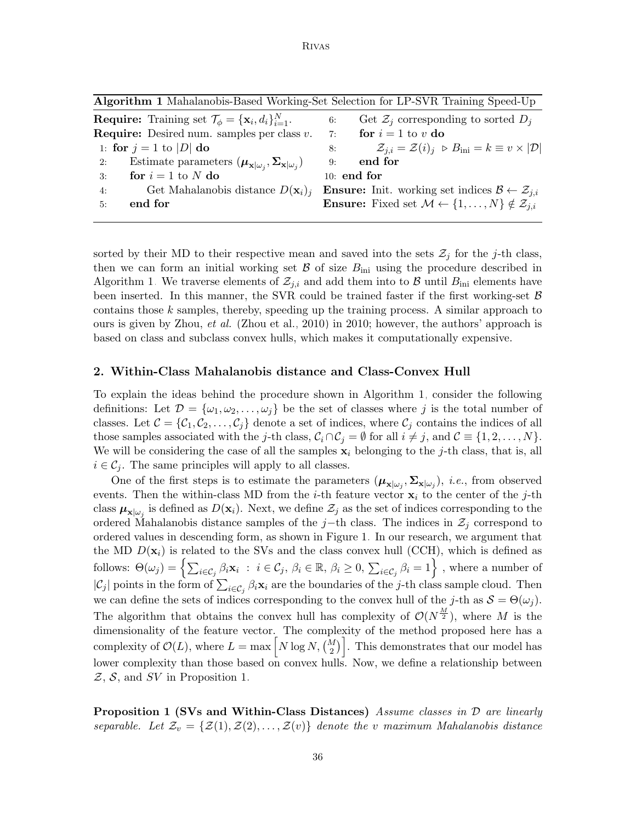Algorithm 1 Mahalanobis-Based Working-Set Selection for LP-SVR Training Speed-Up

<span id="page-1-0"></span>

| <b>Require:</b> Training set $\mathcal{T}_{\phi} = {\mathbf{x}_i, d_i}_{i=1}^N$ .                               | Get $\mathcal{Z}_i$ corresponding to sorted $D_i$<br>6:                                                         |
|-----------------------------------------------------------------------------------------------------------------|-----------------------------------------------------------------------------------------------------------------|
| <b>Require:</b> Desired num. samples per class $v$ .                                                            | for $i = 1$ to v do<br>7:                                                                                       |
| 1: for $j = 1$ to $ D $ do                                                                                      | $\mathcal{Z}_{j,i} = \mathcal{Z}(i)_j \; \triangleright B_{\text{ini}} = k \equiv v \times  \mathcal{D} $<br>8: |
| Estimate parameters $(\boldsymbol{\mu}_{\mathbf{x} \omega_i}, \boldsymbol{\Sigma}_{\mathbf{x} \omega_i})$<br>2: | $9:$ end for                                                                                                    |
| for $i = 1$ to N do<br>3:                                                                                       | 10: end for                                                                                                     |
| Get Mahalanobis distance $D(\mathbf{x}_i)_i$<br>4:                                                              | <b>Ensure:</b> Init. working set indices $\mathcal{B} \leftarrow \mathcal{Z}_{i,i}$                             |
| end for<br>5:                                                                                                   | <b>Ensure:</b> Fixed set $\mathcal{M} \leftarrow \{1, , N\} \notin \mathcal{Z}_{i,i}$                           |
|                                                                                                                 |                                                                                                                 |

sorted by their MD to their respective mean and saved into the sets  $\mathcal{Z}_j$  for the j-th class, then we can form an initial working set  $\mathcal{B}$  of size  $B_{\text{ini}}$  using the procedure described in Algorithm [1.](#page-1-0) We traverse elements of  $\mathcal{Z}_{j,i}$  and add them into to B until  $B_{\text{ini}}$  elements have been inserted. In this manner, the SVR could be trained faster if the first working-set  $\beta$ contains those  $k$  samples, thereby, speeding up the training process. A similar approach to ours is given by Zhou, *et al.* [\(Zhou et al., 2010\)](#page-3-11) in 2010; however, the authors' approach is based on class and subclass convex hulls, which makes it computationally expensive.

#### 2. Within-Class Mahalanobis distance and Class-Convex Hull

To explain the ideas behind the procedure shown in Algorithm [1,](#page-1-0) consider the following definitions: Let  $\mathcal{D} = {\omega_1, \omega_2, \ldots, \omega_j}$  be the set of classes where j is the total number of classes. Let  $\mathcal{C} = \{C_1, C_2, \ldots, C_j\}$  denote a set of indices, where  $C_j$  contains the indices of all those samples associated with the j-th class,  $C_i \cap C_j = \emptyset$  for all  $i \neq j$ , and  $C \equiv \{1, 2, ..., N\}$ . We will be considering the case of all the samples  $x_i$  belonging to the j-th class, that is, all  $i \in \mathcal{C}_i$ . The same principles will apply to all classes.

One of the first steps is to estimate the parameters  $(\mu_{\mathbf{x}|\omega_j}, \Sigma_{\mathbf{x}|\omega_j})$ , *i.e.*, from observed events. Then the within-class MD from the *i*-th feature vector  $\mathbf{x}_i$  to the center of the *j*-th class  $\mu_{\mathbf{x}|\omega_j}$  is defined as  $D(\mathbf{x}_i)$ . Next, we define  $\mathcal{Z}_j$  as the set of indices corresponding to the ordered Mahalanobis distance samples of the j−th class. The indices in  $\mathcal{Z}_i$  correspond to ordered values in descending form, as shown in Figure [1.](#page-2-0) In our research, we argument that the MD  $D(\mathbf{x}_i)$  is related to the SVs and the class convex hull (CCH), which is defined as follows:  $\Theta(\omega_j) = \left\{ \sum_{i \in \mathcal{C}_j} \beta_i \mathbf{x}_i : i \in \mathcal{C}_j, \, \beta_i \in \mathbb{R}, \, \beta_i \geq 0, \, \sum_{i \in \mathcal{C}_j} \beta_i = 1 \right\}$ , where a number of  $|\mathcal{C}_j|$  points in the form of  $\sum_{i \in \mathcal{C}_j} \beta_i \mathbf{x}_i$  are the boundaries of the j-th class sample cloud. Then we can define the sets of indices corresponding to the convex hull of the j-th as  $S = \Theta(\omega_i)$ . The algorithm that obtains the convex hull has complexity of  $\mathcal{O}(N^{\frac{M}{2}})$ , where M is the dimensionality of the feature vector. The complexity of the method proposed here has a complexity of  $\mathcal{O}(L)$ , where  $L = \max\left[N\log N, \binom{M}{2}\right]$ . This demonstrates that our model has lower complexity than those based on convex hulls. Now, we define a relationship between  $Z$ ,  $S$ , and  $SV$  in Proposition [1.](#page-1-1)

<span id="page-1-1"></span>**Proposition 1 (SVs and Within-Class Distances)** Assume classes in  $\mathcal{D}$  are linearly separable. Let  $\mathcal{Z}_v = \{ \mathcal{Z}(1), \mathcal{Z}(2), \ldots, \mathcal{Z}(v) \}$  denote the v maximum Mahalanobis distance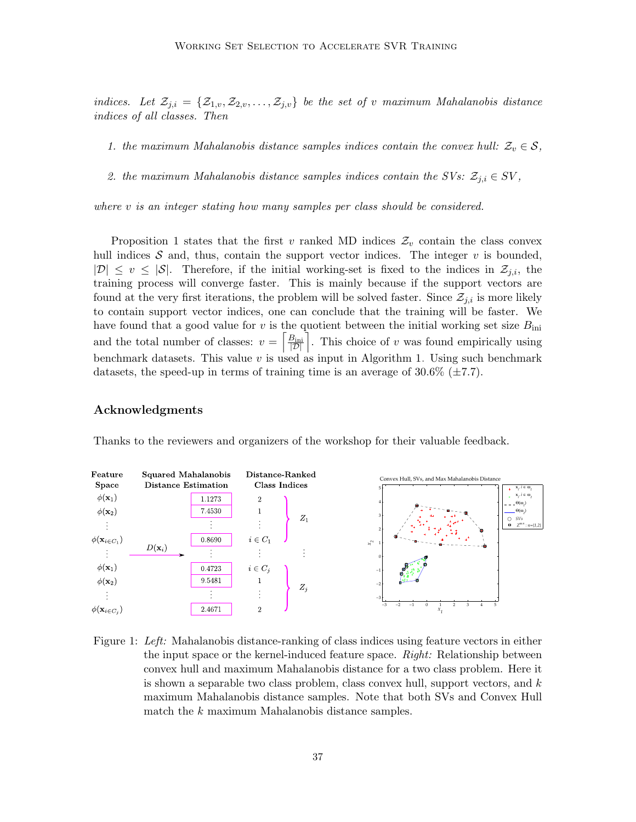indices. Let  $\mathcal{Z}_{j,i} = \{\mathcal{Z}_{1,v}, \mathcal{Z}_{2,v}, \ldots, \mathcal{Z}_{j,v}\}\$ be the set of v maximum Mahalanobis distance indices of all classes. Then

1. the maximum Mahalanobis distance samples indices contain the convex hull:  $\mathcal{Z}_v \in \mathcal{S}$ ,

2. the maximum Mahalanobis distance samples indices contain the SVs:  $\mathcal{Z}_{j,i} \in SV$ ,

where v is an integer stating how many samples per class should be considered.

Proposition [1](#page-1-1) states that the first v ranked MD indices  $\mathcal{Z}_v$  contain the class convex hull indices  $S$  and, thus, contain the support vector indices. The integer  $v$  is bounded,  $|\mathcal{D}| \leq v \leq |\mathcal{S}|$ . Therefore, if the initial working-set is fixed to the indices in  $\mathcal{Z}_{i,i}$ , the training process will converge faster. This is mainly because if the support vectors are found at the very first iterations, the problem will be solved faster. Since  $\mathcal{Z}_{i,i}$  is more likely to contain support vector indices, one can conclude that the training will be faster. We have found that a good value for  $v$  is the quotient between the initial working set size  $B_{\text{ini}}$ and the total number of classes:  $v = \left[\frac{B_{\text{ini}}}{|D|}\right]$ . This choice of v was found empirically using benchmark datasets. This value  $v$  is used as input in Algorithm [1.](#page-1-0) Using such benchmark datasets, the speed-up in terms of training time is an average of  $30.6\%$  ( $\pm 7.7$ ).

### Acknowledgments



Thanks to the reviewers and organizers of the workshop for their valuable feedback.

<span id="page-2-0"></span>Figure 1: Left: Mahalanobis distance-ranking of class indices using feature vectors in either the input space or the kernel-induced feature space. Right: Relationship between convex hull and maximum Mahalanobis distance for a two class problem. Here it is shown a separable two class problem, class convex hull, support vectors, and  $k$ maximum Mahalanobis distance samples. Note that both SVs and Convex Hull match the k maximum Mahalanobis distance samples.